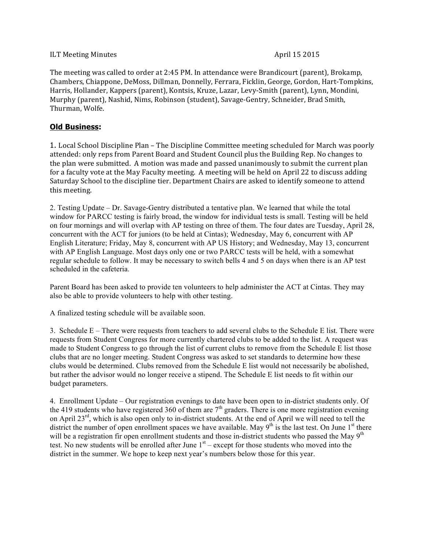## ILT Meeting Minutes and the settlement of the settlement of the April 15 2015

The meeting was called to order at 2:45 PM. In attendance were Brandicourt (parent), Brokamp, Chambers, Chiappone, DeMoss, Dillman, Donnelly, Ferrara, Ficklin, George, Gordon, Hart-Tompkins, Harris, Hollander, Kappers (parent), Kontsis, Kruze, Lazar, Levy-Smith (parent), Lynn, Mondini, Murphy (parent), Nashid, Nims, Robinson (student), Savage-Gentry, Schneider, Brad Smith, Thurman, Wolfe.

## **Old Business:**

1. Local School Discipline Plan - The Discipline Committee meeting scheduled for March was poorly attended: only reps from Parent Board and Student Council plus the Building Rep. No changes to the plan were submitted. A motion was made and passed unanimously to submit the current plan for a faculty vote at the May Faculty meeting. A meeting will be held on April 22 to discuss adding Saturday School to the discipline tier. Department Chairs are asked to identify someone to attend this meeting.

2. Testing Update – Dr. Savage-Gentry distributed a tentative plan. We learned that while the total window for PARCC testing is fairly broad, the window for individual tests is small. Testing will be held on four mornings and will overlap with AP testing on three of them. The four dates are Tuesday, April 28, concurrent with the ACT for juniors (to be held at Cintas); Wednesday, May 6, concurrent with AP English Literature; Friday, May 8, concurrent with AP US History; and Wednesday, May 13, concurrent with AP English Language. Most days only one or two PARCC tests will be held, with a somewhat regular schedule to follow. It may be necessary to switch bells 4 and 5 on days when there is an AP test scheduled in the cafeteria.

Parent Board has been asked to provide ten volunteers to help administer the ACT at Cintas. They may also be able to provide volunteers to help with other testing.

A finalized testing schedule will be available soon.

3. Schedule E – There were requests from teachers to add several clubs to the Schedule E list. There were requests from Student Congress for more currently chartered clubs to be added to the list. A request was made to Student Congress to go through the list of current clubs to remove from the Schedule E list those clubs that are no longer meeting. Student Congress was asked to set standards to determine how these clubs would be determined. Clubs removed from the Schedule E list would not necessarily be abolished, but rather the advisor would no longer receive a stipend. The Schedule E list needs to fit within our budget parameters.

4. Enrollment Update – Our registration evenings to date have been open to in-district students only. Of the 419 students who have registered 360 of them are  $7<sup>th</sup>$  graders. There is one more registration evening on April 23<sup>rd</sup>, which is also open only to in-district students. At the end of April we will need to tell the district the number of open enrollment spaces we have available. May  $9<sup>th</sup>$  is the last test. On June 1<sup>st</sup> there will be a registration fir open enrollment students and those in-district students who passed the May 9<sup>th</sup> test. No new students will be enrolled after June  $1<sup>st</sup>$  – except for those students who moved into the district in the summer. We hope to keep next year's numbers below those for this year.